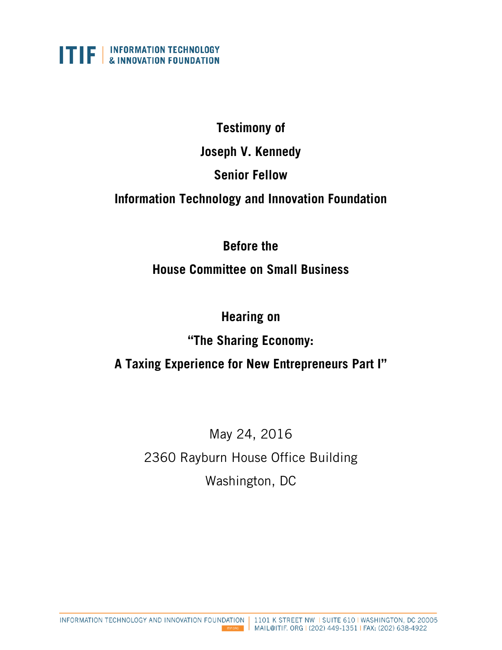

#### **Testimony of**

#### **Joseph V. Kennedy**

## **Senior Fellow**

## **Information Technology and Innovation Foundation**

# **Before the**

# **House Committee on Small Business**

# **Hearing on**

# **"The Sharing Economy:**

# **A Taxing Experience for New Entrepreneurs Part I"**

# May 24, 2016 2360 Rayburn House Office Building Washington, DC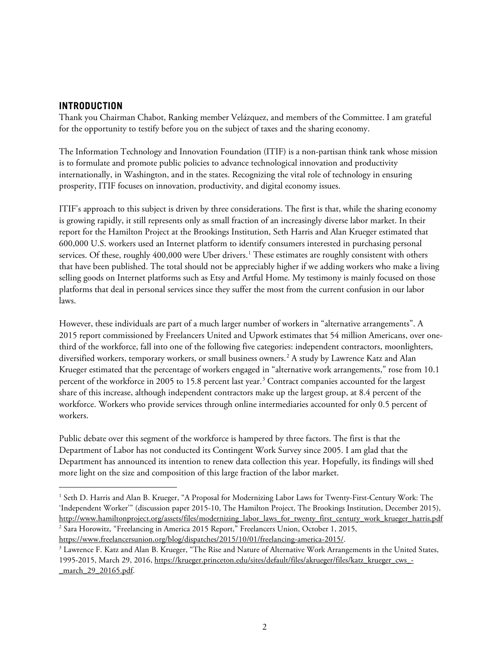#### **INTRODUCTION**

Thank you Chairman Chabot, Ranking member Velázquez, and members of the Committee. I am grateful for the opportunity to testify before you on the subject of taxes and the sharing economy.

The Information Technology and Innovation Foundation (ITIF) is a non-partisan think tank whose mission is to formulate and promote public policies to advance technological innovation and productivity internationally, in Washington, and in the states. Recognizing the vital role of technology in ensuring prosperity, ITIF focuses on innovation, productivity, and digital economy issues.

ITIF's approach to this subject is driven by three considerations. The first is that, while the sharing economy is growing rapidly, it still represents only as small fraction of an increasingly diverse labor market. In their report for the Hamilton Project at the Brookings Institution, Seth Harris and Alan Krueger estimated that 600,000 U.S. workers used an Internet platform to identify consumers interested in purchasing personal services. Of these, roughly 400,000 were Uber drivers.<sup>[1](#page-1-0)</sup> These estimates are roughly consistent with others that have been published. The total should not be appreciably higher if we adding workers who make a living selling goods on Internet platforms such as Etsy and Artful Home. My testimony is mainly focused on those platforms that deal in personal services since they suffer the most from the current confusion in our labor laws.

However, these individuals are part of a much larger number of workers in "alternative arrangements". A 2015 report commissioned by Freelancers United and Upwork estimates that 54 million Americans, over onethird of the workforce, fall into one of the following five categories: independent contractors, moonlighters, diversified workers, temporary workers, or small business owners.[2](#page-1-1) A study by Lawrence Katz and Alan Krueger estimated that the percentage of workers engaged in "alternative work arrangements," rose from 10.1 percent of the workforce in 2005 to 15.8 percent last year.<sup>[3](#page-1-2)</sup> Contract companies accounted for the largest share of this increase, although independent contractors make up the largest group, at 8.4 percent of the workforce. Workers who provide services through online intermediaries accounted for only 0.5 percent of workers.

Public debate over this segment of the workforce is hampered by three factors. The first is that the Department of Labor has not conducted its Contingent Work Survey since 2005. I am glad that the Department has announced its intention to renew data collection this year. Hopefully, its findings will shed more light on the size and composition of this large fraction of the labor market.

<span id="page-1-0"></span> <sup>1</sup> Seth D. Harris and Alan B. Krueger, "A Proposal for Modernizing Labor Laws for Twenty-First-Century Work: The 'Independent Worker'" (discussion paper 2015-10, The Hamilton Project, The Brookings Institution, December 2015), [http://www.hamiltonproject.org/assets/files/modernizing\\_labor\\_laws\\_for\\_twenty\\_first\\_century\\_work\\_krueger\\_harris.pdf](http://www.hamiltonproject.org/assets/files/modernizing_labor_laws_for_twenty_first_century_work_krueger_harris.pdf) <sup>2</sup> Sara Horowitz, "Freelancing in America 2015 Report," Freelancers Union, October 1, 2015, [https://www.freelancersunion.org/blog/dispatches/2015/10/01/freelancing-america-2015/.](https://www.freelancersunion.org/blog/dispatches/2015/10/01/freelancing-america-2015/)

<span id="page-1-2"></span><span id="page-1-1"></span><sup>&</sup>lt;sup>3</sup> Lawrence F. Katz and Alan B. Krueger, "The Rise and Nature of Alternative Work Arrangements in the United States, 1995-2015, March 29, 2016, [https://krueger.princeton.edu/sites/default/files/akrueger/files/katz\\_krueger\\_cws\\_-](https://krueger.princeton.edu/sites/default/files/akrueger/files/katz_krueger_cws_-_march_29_20165.pdf) [\\_march\\_29\\_20165.pdf.](https://krueger.princeton.edu/sites/default/files/akrueger/files/katz_krueger_cws_-_march_29_20165.pdf)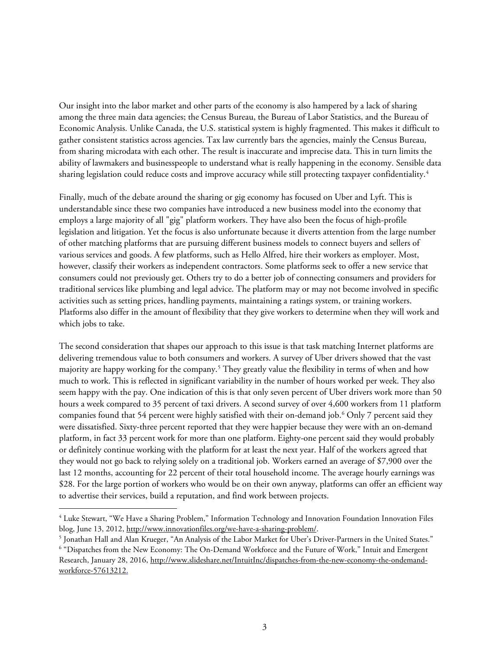Our insight into the labor market and other parts of the economy is also hampered by a lack of sharing among the three main data agencies; the Census Bureau, the Bureau of Labor Statistics, and the Bureau of Economic Analysis. Unlike Canada, the U.S. statistical system is highly fragmented. This makes it difficult to gather consistent statistics across agencies. Tax law currently bars the agencies, mainly the Census Bureau, from sharing microdata with each other. The result is inaccurate and imprecise data. This in turn limits the ability of lawmakers and businesspeople to understand what is really happening in the economy. Sensible data sharing legislation could reduce costs and improve accuracy while still protecting taxpayer confidentiality.<sup>[4](#page-2-0)</sup>

Finally, much of the debate around the sharing or gig economy has focused on Uber and Lyft. This is understandable since these two companies have introduced a new business model into the economy that employs a large majority of all "gig" platform workers. They have also been the focus of high-profile legislation and litigation. Yet the focus is also unfortunate because it diverts attention from the large number of other matching platforms that are pursuing different business models to connect buyers and sellers of various services and goods. A few platforms, such as Hello Alfred, hire their workers as employer. Most, however, classify their workers as independent contractors. Some platforms seek to offer a new service that consumers could not previously get. Others try to do a better job of connecting consumers and providers for traditional services like plumbing and legal advice. The platform may or may not become involved in specific activities such as setting prices, handling payments, maintaining a ratings system, or training workers. Platforms also differ in the amount of flexibility that they give workers to determine when they will work and which jobs to take.

The second consideration that shapes our approach to this issue is that task matching Internet platforms are delivering tremendous value to both consumers and workers. A survey of Uber drivers showed that the vast majority are happy working for the company.<sup>[5](#page-2-1)</sup> They greatly value the flexibility in terms of when and how much to work. This is reflected in significant variability in the number of hours worked per week. They also seem happy with the pay. One indication of this is that only seven percent of Uber drivers work more than 50 hours a week compared to 35 percent of taxi drivers. A second survey of over 4,600 workers from 11 platform companies found that 54 percent were highly satisfied with their on-demand job.<sup>[6](#page-2-2)</sup> Only 7 percent said they were dissatisfied. Sixty-three percent reported that they were happier because they were with an on-demand platform, in fact 33 percent work for more than one platform. Eighty-one percent said they would probably or definitely continue working with the platform for at least the next year. Half of the workers agreed that they would not go back to relying solely on a traditional job. Workers earned an average of \$7,900 over the last 12 months, accounting for 22 percent of their total household income. The average hourly earnings was \$28. For the large portion of workers who would be on their own anyway, platforms can offer an efficient way to advertise their services, build a reputation, and find work between projects.

<span id="page-2-0"></span> <sup>4</sup> Luke Stewart, "We Have a Sharing Problem," Information Technology and Innovation Foundation Innovation Files blog, June 13, 2012, [http://www.innovationfiles.org/we-have-a-sharing-problem/.](http://www.innovationfiles.org/we-have-a-sharing-problem/)

<span id="page-2-1"></span><sup>5</sup> Jonathan Hall and Alan Krueger, "An Analysis of the Labor Market for Uber's Driver-Partners in the United States."

<span id="page-2-2"></span><sup>6</sup> "Dispatches from the New Economy: The On-Demand Workforce and the Future of Work," Intuit and Emergent Research, January 28, 2016, [http://www.slideshare.net/IntuitInc/dispatches-from-the-new-economy-the-ondemand](http://www.slideshare.net/IntuitInc/dispatches-from-the-new-economy-the-ondemand-workforce-57613212)[workforce-57613212.](http://www.slideshare.net/IntuitInc/dispatches-from-the-new-economy-the-ondemand-workforce-57613212)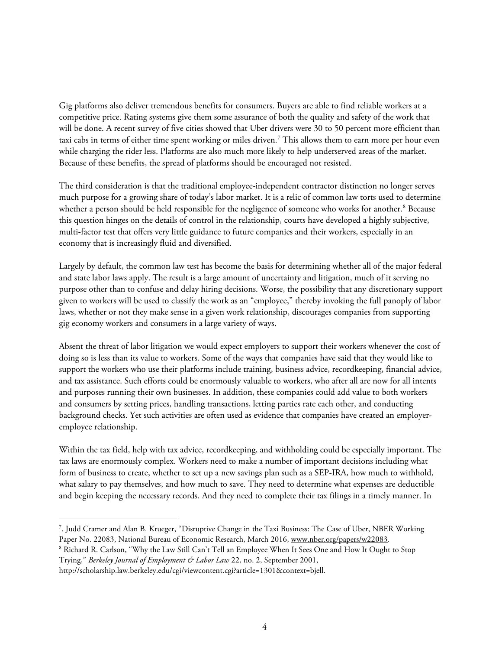Gig platforms also deliver tremendous benefits for consumers. Buyers are able to find reliable workers at a competitive price. Rating systems give them some assurance of both the quality and safety of the work that will be done. A recent survey of five cities showed that Uber drivers were 30 to 50 percent more efficient than taxi cabs in terms of either time spent working or miles driven.<sup>[7](#page-3-0)</sup> This allows them to earn more per hour even while charging the rider less. Platforms are also much more likely to help underserved areas of the market. Because of these benefits, the spread of platforms should be encouraged not resisted.

The third consideration is that the traditional employee-independent contractor distinction no longer serves much purpose for a growing share of today's labor market. It is a relic of common law torts used to determine whether a person should be held responsible for the negligence of someone who works for another. [8](#page-3-1) Because this question hinges on the details of control in the relationship, courts have developed a highly subjective, multi-factor test that offers very little guidance to future companies and their workers, especially in an economy that is increasingly fluid and diversified.

Largely by default, the common law test has become the basis for determining whether all of the major federal and state labor laws apply. The result is a large amount of uncertainty and litigation, much of it serving no purpose other than to confuse and delay hiring decisions. Worse, the possibility that any discretionary support given to workers will be used to classify the work as an "employee," thereby invoking the full panoply of labor laws, whether or not they make sense in a given work relationship, discourages companies from supporting gig economy workers and consumers in a large variety of ways.

Absent the threat of labor litigation we would expect employers to support their workers whenever the cost of doing so is less than its value to workers. Some of the ways that companies have said that they would like to support the workers who use their platforms include training, business advice, recordkeeping, financial advice, and tax assistance. Such efforts could be enormously valuable to workers, who after all are now for all intents and purposes running their own businesses. In addition, these companies could add value to both workers and consumers by setting prices, handling transactions, letting parties rate each other, and conducting background checks. Yet such activities are often used as evidence that companies have created an employeremployee relationship.

Within the tax field, help with tax advice, recordkeeping, and withholding could be especially important. The tax laws are enormously complex. Workers need to make a number of important decisions including what form of business to create, whether to set up a new savings plan such as a SEP-IRA, how much to withhold, what salary to pay themselves, and how much to save. They need to determine what expenses are deductible and begin keeping the necessary records. And they need to complete their tax filings in a timely manner. In

<span id="page-3-1"></span><sup>8</sup> Richard R. Carlson, "Why the Law Still Can't Tell an Employee When It Sees One and How It Ought to Stop Trying," *Berkeley Journal of Employment & Labor Law* 22, no. 2, September 2001,

<span id="page-3-0"></span><sup>-&</sup>lt;br>7 . Judd Cramer and Alan B. Krueger, "Disruptive Change in the Taxi Business: The Case of Uber, NBER Working Paper No. 22083, National Bureau of Economic Research, March 2016, [www.nber.org/papers/w22083](http://www.nber.org/papers/w22083)*.*

[http://scholarship.law.berkeley.edu/cgi/viewcontent.cgi?article=1301&context=bjell.](http://scholarship.law.berkeley.edu/cgi/viewcontent.cgi?article=1301&context=bjell)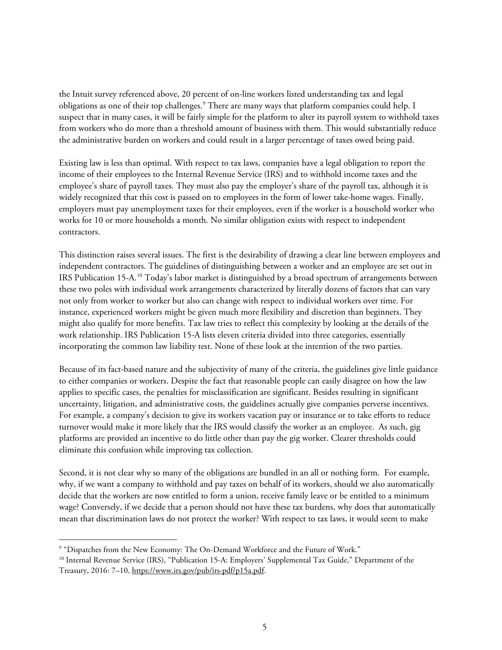the Intuit survey referenced above, 20 percent of on-line workers listed understanding tax and legal obligations as one of their top challenges.<sup>9</sup> There are many ways that platform companies could help. I suspect that in many cases, it will be fairly simple for the platform to alter its payroll system to withhold taxes from workers who do more than a threshold amount of business with them. This would substantially reduce the administrative burden on workers and could result in a larger percentage of taxes owed being paid.

Existing law is less than optimal. With respect to tax laws, companies have a legal obligation to report the income of their employees to the Internal Revenue Service (IRS) and to withhold income taxes and the employee's share of payroll taxes. They must also pay the employer's share of the payroll tax, although it is widely recognized that this cost is passed on to employees in the form of lower take-home wages. Finally, employers must pay unemployment taxes for their employees, even if the worker is a household worker who works for 10 or more households a month. No similar obligation exists with respect to independent contractors.

This distinction raises several issues. The first is the desirability of drawing a clear line between employees and independent contractors. The guidelines of distinguishing between a worker and an employee are set out in IRS Publication 15-A.<sup>[10](#page-4-1)</sup> Today's labor market is distinguished by a broad spectrum of arrangements between these two poles with individual work arrangements characterized by literally dozens of factors that can vary not only from worker to worker but also can change with respect to individual workers over time. For instance, experienced workers might be given much more flexibility and discretion than beginners. They might also qualify for more benefits. Tax law tries to reflect this complexity by looking at the details of the work relationship. IRS Publication 15-A lists eleven criteria divided into three categories, essentially incorporating the common law liability test. None of these look at the intention of the two parties.

Because of its fact-based nature and the subjectivity of many of the criteria, the guidelines give little guidance to either companies or workers. Despite the fact that reasonable people can easily disagree on how the law applies to specific cases, the penalties for misclassification are significant. Besides resulting in significant uncertainty, litigation, and administrative costs, the guidelines actually give companies perverse incentives. For example, a company's decision to give its workers vacation pay or insurance or to take efforts to reduce turnover would make it more likely that the IRS would classify the worker as an employee. As such, gig platforms are provided an incentive to do little other than pay the gig worker. Clearer thresholds could eliminate this confusion while improving tax collection.

Second, it is not clear why so many of the obligations are bundled in an all or nothing form. For example, why, if we want a company to withhold and pay taxes on behalf of its workers, should we also automatically decide that the workers are now entitled to form a union, receive family leave or be entitled to a minimum wage? Conversely, if we decide that a person should not have these tax burdens, why does that automatically mean that discrimination laws do not protect the worker? With respect to tax laws, it would seem to make

<span id="page-4-0"></span> <sup>9</sup> "Dispatches from the New Economy: The On-Demand Workforce and the Future of Work."

<span id="page-4-1"></span><sup>&</sup>lt;sup>10</sup> Internal Revenue Service (IRS), "Publication 15-A: Employers' Supplemental Tax Guide," Department of the Treasury, 2016: 7–10, [https://www.irs.gov/pub/irs-pdf/p15a.pdf.](https://www.irs.gov/pub/irs-pdf/p15a.pdf)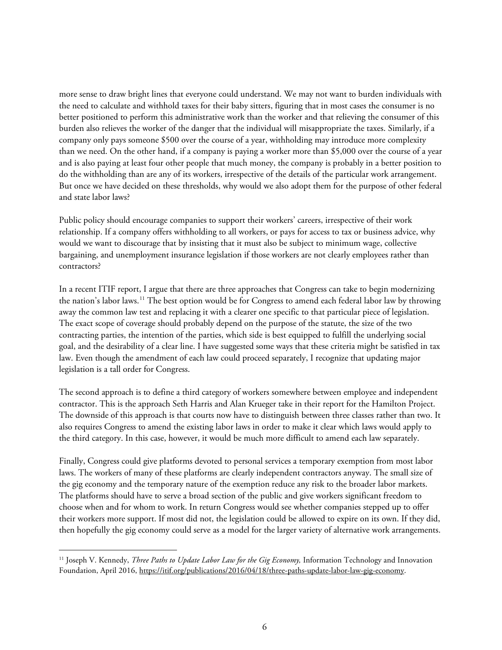more sense to draw bright lines that everyone could understand. We may not want to burden individuals with the need to calculate and withhold taxes for their baby sitters, figuring that in most cases the consumer is no better positioned to perform this administrative work than the worker and that relieving the consumer of this burden also relieves the worker of the danger that the individual will misappropriate the taxes. Similarly, if a company only pays someone \$500 over the course of a year, withholding may introduce more complexity than we need. On the other hand, if a company is paying a worker more than \$5,000 over the course of a year and is also paying at least four other people that much money, the company is probably in a better position to do the withholding than are any of its workers, irrespective of the details of the particular work arrangement. But once we have decided on these thresholds, why would we also adopt them for the purpose of other federal and state labor laws?

Public policy should encourage companies to support their workers' careers, irrespective of their work relationship. If a company offers withholding to all workers, or pays for access to tax or business advice, why would we want to discourage that by insisting that it must also be subject to minimum wage, collective bargaining, and unemployment insurance legislation if those workers are not clearly employees rather than contractors?

In a recent ITIF report, I argue that there are three approaches that Congress can take to begin modernizing the nation's labor laws.[11](#page-5-0) The best option would be for Congress to amend each federal labor law by throwing away the common law test and replacing it with a clearer one specific to that particular piece of legislation. The exact scope of coverage should probably depend on the purpose of the statute, the size of the two contracting parties, the intention of the parties, which side is best equipped to fulfill the underlying social goal, and the desirability of a clear line. I have suggested some ways that these criteria might be satisfied in tax law. Even though the amendment of each law could proceed separately, I recognize that updating major legislation is a tall order for Congress.

The second approach is to define a third category of workers somewhere between employee and independent contractor. This is the approach Seth Harris and Alan Krueger take in their report for the Hamilton Project. The downside of this approach is that courts now have to distinguish between three classes rather than two. It also requires Congress to amend the existing labor laws in order to make it clear which laws would apply to the third category. In this case, however, it would be much more difficult to amend each law separately.

Finally, Congress could give platforms devoted to personal services a temporary exemption from most labor laws. The workers of many of these platforms are clearly independent contractors anyway. The small size of the gig economy and the temporary nature of the exemption reduce any risk to the broader labor markets. The platforms should have to serve a broad section of the public and give workers significant freedom to choose when and for whom to work. In return Congress would see whether companies stepped up to offer their workers more support. If most did not, the legislation could be allowed to expire on its own. If they did, then hopefully the gig economy could serve as a model for the larger variety of alternative work arrangements.

<span id="page-5-0"></span><sup>&</sup>lt;sup>11</sup> Joseph V. Kennedy, *Three Paths to Update Labor Law for the Gig Economy*, Information Technology and Innovation Foundation, April 2016[, https://itif.org/publications/2016/04/18/three-paths-update-labor-law-gig-economy.](https://itif.org/publications/2016/04/18/three-paths-update-labor-law-gig-economy)